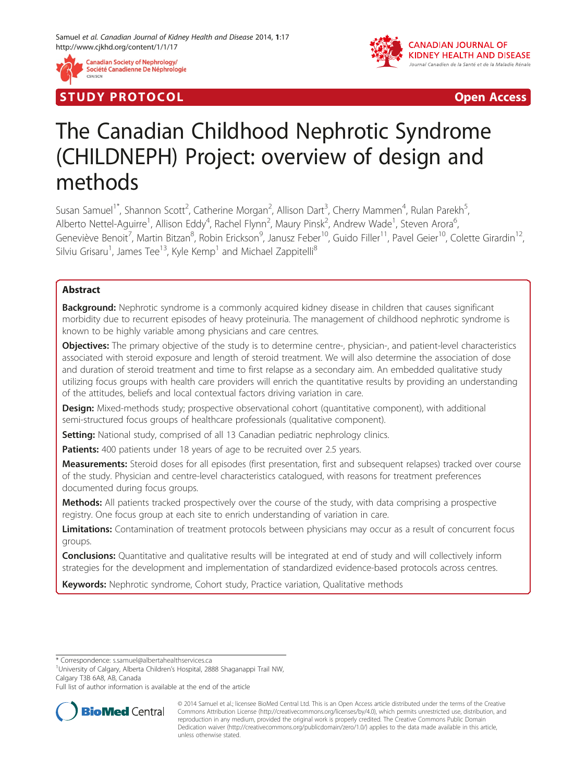





# The Canadian Childhood Nephrotic Syndrome (CHILDNEPH) Project: overview of design and methods

Susan Samuel<sup>1\*</sup>, Shannon Scott<sup>2</sup>, Catherine Morgan<sup>2</sup>, Allison Dart<sup>3</sup>, Cherry Mammen<sup>4</sup>, Rulan Parekh<sup>5</sup> , Alberto Nettel-Aguirre<sup>1</sup>, Allison Eddy<sup>4</sup>, Rachel Flynn<sup>2</sup>, Maury Pinsk<sup>2</sup>, Andrew Wade<sup>1</sup>, Steven Arora<sup>6</sup> , Geneviève Benoit<sup>7</sup>, Martin Bitzan<sup>8</sup>, Robin Erickson<sup>9</sup>, Janusz Feber<sup>10</sup>, Guido Filler<sup>11</sup>, Pavel Geier<sup>10</sup>, Colette Girardin<sup>12</sup>, Silviu Grisaru<sup>1</sup>, James Tee<sup>13</sup>, Kyle Kemp<sup>1</sup> and Michael Zappitelli<sup>8</sup>

# Abstract

Background: Nephrotic syndrome is a commonly acquired kidney disease in children that causes significant morbidity due to recurrent episodes of heavy proteinuria. The management of childhood nephrotic syndrome is known to be highly variable among physicians and care centres.

Objectives: The primary objective of the study is to determine centre-, physician-, and patient-level characteristics associated with steroid exposure and length of steroid treatment. We will also determine the association of dose and duration of steroid treatment and time to first relapse as a secondary aim. An embedded qualitative study utilizing focus groups with health care providers will enrich the quantitative results by providing an understanding of the attitudes, beliefs and local contextual factors driving variation in care.

**Design:** Mixed-methods study; prospective observational cohort (quantitative component), with additional semi-structured focus groups of healthcare professionals (qualitative component).

**Setting:** National study, comprised of all 13 Canadian pediatric nephrology clinics.

Patients: 400 patients under 18 years of age to be recruited over 2.5 years.

Measurements: Steroid doses for all episodes (first presentation, first and subsequent relapses) tracked over course of the study. Physician and centre-level characteristics catalogued, with reasons for treatment preferences documented during focus groups.

Methods: All patients tracked prospectively over the course of the study, with data comprising a prospective registry. One focus group at each site to enrich understanding of variation in care.

Limitations: Contamination of treatment protocols between physicians may occur as a result of concurrent focus groups.

**Conclusions:** Quantitative and qualitative results will be integrated at end of study and will collectively inform strategies for the development and implementation of standardized evidence-based protocols across centres.

Keywords: Nephrotic syndrome, Cohort study, Practice variation, Qualitative methods

\* Correspondence: [s.samuel@albertahealthservices.ca](mailto:s.samuel@albertahealthservices.ca) <sup>1</sup>

<sup>1</sup>University of Calgary, Alberta Children's Hospital, 2888 Shaganappi Trail NW, Calgary T3B 6A8, AB, Canada

Full list of author information is available at the end of the article



<sup>© 2014</sup> Samuel et al.; licensee BioMed Central Ltd. This is an Open Access article distributed under the terms of the Creative Commons Attribution License [\(http://creativecommons.org/licenses/by/4.0\)](http://creativecommons.org/licenses/by/4.0), which permits unrestricted use, distribution, and reproduction in any medium, provided the original work is properly credited. The Creative Commons Public Domain Dedication waiver [\(http://creativecommons.org/publicdomain/zero/1.0/](http://creativecommons.org/publicdomain/zero/1.0/)) applies to the data made available in this article, unless otherwise stated.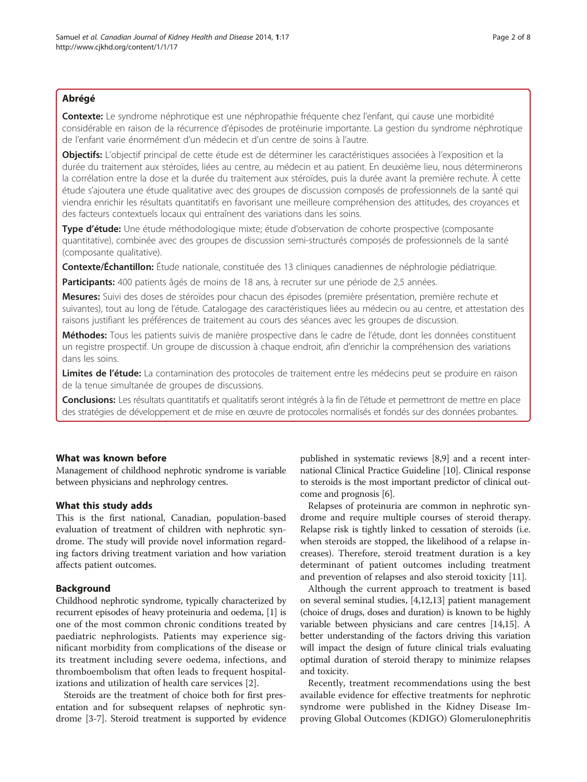# Abrégé

Contexte: Le syndrome néphrotique est une néphropathie fréquente chez l'enfant, qui cause une morbidité considérable en raison de la récurrence d'épisodes de protéinurie importante. La gestion du syndrome néphrotique de l'enfant varie énormément d'un médecin et d'un centre de soins à l'autre.

Objectifs: L'objectif principal de cette étude est de déterminer les caractéristiques associées à l'exposition et la durée du traitement aux stéroïdes, liées au centre, au médecin et au patient. En deuxième lieu, nous déterminerons la corrélation entre la dose et la durée du traitement aux stéroïdes, puis la durée avant la première rechute. À cette étude s'ajoutera une étude qualitative avec des groupes de discussion composés de professionnels de la santé qui viendra enrichir les résultats quantitatifs en favorisant une meilleure compréhension des attitudes, des croyances et des facteurs contextuels locaux qui entraînent des variations dans les soins.

Type d'étude: Une étude méthodologique mixte; étude d'observation de cohorte prospective (composante quantitative), combinée avec des groupes de discussion semi-structurés composés de professionnels de la santé (composante qualitative).

Contexte/Échantillon: Étude nationale, constituée des 13 cliniques canadiennes de néphrologie pédiatrique.

Participants: 400 patients âgés de moins de 18 ans, à recruter sur une période de 2,5 années.

Mesures: Suivi des doses de stéroïdes pour chacun des épisodes (première présentation, première rechute et suivantes), tout au long de l'étude. Catalogage des caractéristiques liées au médecin ou au centre, et attestation des raisons justifiant les préférences de traitement au cours des séances avec les groupes de discussion.

Méthodes: Tous les patients suivis de manière prospective dans le cadre de l'étude, dont les données constituent un registre prospectif. Un groupe de discussion à chaque endroit, afin d'enrichir la compréhension des variations dans les soins.

Limites de l'étude: La contamination des protocoles de traitement entre les médecins peut se produire en raison de la tenue simultanée de groupes de discussions.

Conclusions: Les résultats quantitatifs et qualitatifs seront intégrés à la fin de l'étude et permettront de mettre en place des stratégies de développement et de mise en œuvre de protocoles normalisés et fondés sur des données probantes.

# What was known before

Management of childhood nephrotic syndrome is variable between physicians and nephrology centres.

## What this study adds

This is the first national, Canadian, population-based evaluation of treatment of children with nephrotic syndrome. The study will provide novel information regarding factors driving treatment variation and how variation affects patient outcomes.

# Background

Childhood nephrotic syndrome, typically characterized by recurrent episodes of heavy proteinuria and oedema, [[1](#page-7-0)] is one of the most common chronic conditions treated by paediatric nephrologists. Patients may experience significant morbidity from complications of the disease or its treatment including severe oedema, infections, and thromboembolism that often leads to frequent hospitalizations and utilization of health care services [\[2](#page-7-0)].

Steroids are the treatment of choice both for first presentation and for subsequent relapses of nephrotic syndrome [\[3-7](#page-7-0)]. Steroid treatment is supported by evidence

published in systematic reviews [\[8,9](#page-7-0)] and a recent international Clinical Practice Guideline [[10](#page-7-0)]. Clinical response to steroids is the most important predictor of clinical outcome and prognosis [[6](#page-7-0)].

Relapses of proteinuria are common in nephrotic syndrome and require multiple courses of steroid therapy. Relapse risk is tightly linked to cessation of steroids (i.e. when steroids are stopped, the likelihood of a relapse increases). Therefore, steroid treatment duration is a key determinant of patient outcomes including treatment and prevention of relapses and also steroid toxicity [[11](#page-7-0)].

Although the current approach to treatment is based on several seminal studies, [[4,12,13\]](#page-7-0) patient management (choice of drugs, doses and duration) is known to be highly variable between physicians and care centres [[14,15\]](#page-7-0). A better understanding of the factors driving this variation will impact the design of future clinical trials evaluating optimal duration of steroid therapy to minimize relapses and toxicity.

Recently, treatment recommendations using the best available evidence for effective treatments for nephrotic syndrome were published in the Kidney Disease Improving Global Outcomes (KDIGO) Glomerulonephritis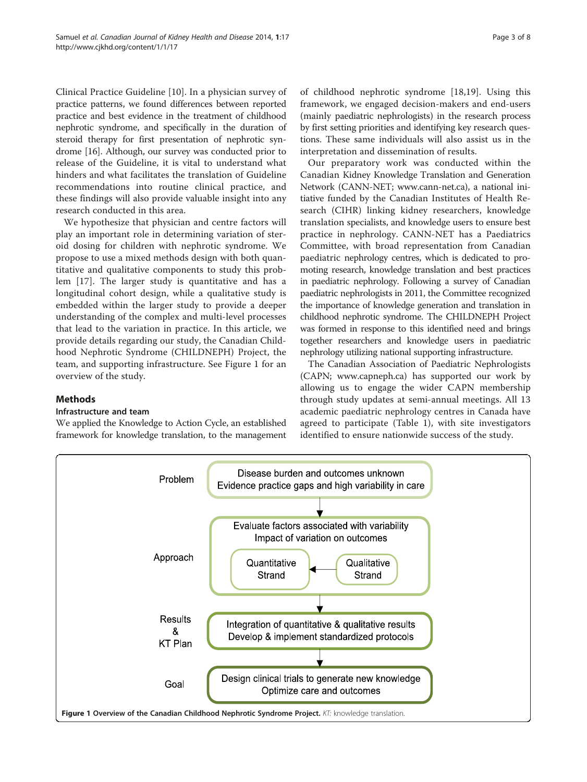Clinical Practice Guideline [[10\]](#page-7-0). In a physician survey of practice patterns, we found differences between reported practice and best evidence in the treatment of childhood nephrotic syndrome, and specifically in the duration of steroid therapy for first presentation of nephrotic syndrome [\[16\]](#page-7-0). Although, our survey was conducted prior to release of the Guideline, it is vital to understand what hinders and what facilitates the translation of Guideline recommendations into routine clinical practice, and these findings will also provide valuable insight into any research conducted in this area.

We hypothesize that physician and centre factors will play an important role in determining variation of steroid dosing for children with nephrotic syndrome. We propose to use a mixed methods design with both quantitative and qualitative components to study this problem [[17\]](#page-7-0). The larger study is quantitative and has a longitudinal cohort design, while a qualitative study is embedded within the larger study to provide a deeper understanding of the complex and multi-level processes that lead to the variation in practice. In this article, we provide details regarding our study, the Canadian Childhood Nephrotic Syndrome (CHILDNEPH) Project, the team, and supporting infrastructure. See Figure 1 for an overview of the study.

# Methods

## Infrastructure and team

We applied the Knowledge to Action Cycle, an established framework for knowledge translation, to the management

of childhood nephrotic syndrome [[18,19\]](#page-7-0). Using this framework, we engaged decision-makers and end-users (mainly paediatric nephrologists) in the research process by first setting priorities and identifying key research questions. These same individuals will also assist us in the interpretation and dissemination of results.

Our preparatory work was conducted within the Canadian Kidney Knowledge Translation and Generation Network (CANN-NET; [www.cann-net.ca\)](http://www.cann-net.ca), a national initiative funded by the Canadian Institutes of Health Research (CIHR) linking kidney researchers, knowledge translation specialists, and knowledge users to ensure best practice in nephrology. CANN-NET has a Paediatrics Committee, with broad representation from Canadian paediatric nephrology centres, which is dedicated to promoting research, knowledge translation and best practices in paediatric nephrology. Following a survey of Canadian paediatric nephrologists in 2011, the Committee recognized the importance of knowledge generation and translation in childhood nephrotic syndrome. The CHILDNEPH Project was formed in response to this identified need and brings together researchers and knowledge users in paediatric nephrology utilizing national supporting infrastructure.

The Canadian Association of Paediatric Nephrologists (CAPN; [www.capneph.ca](http://www.capneph.ca)) has supported our work by allowing us to engage the wider CAPN membership through study updates at semi-annual meetings. All 13 academic paediatric nephrology centres in Canada have agreed to participate (Table [1](#page-3-0)), with site investigators identified to ensure nationwide success of the study.

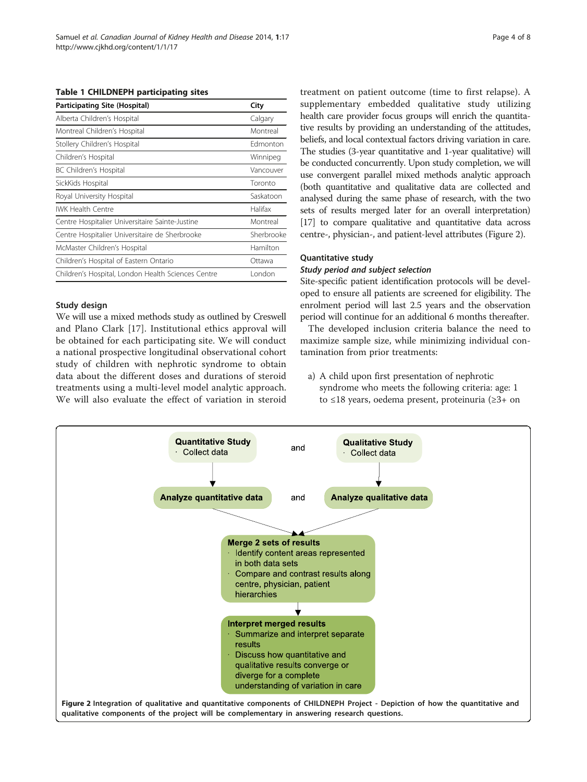#### <span id="page-3-0"></span>Table 1 CHILDNEPH participating sites

| <b>Participating Site (Hospital)</b>               | City            |
|----------------------------------------------------|-----------------|
| Alberta Children's Hospital                        | Calgary         |
| Montreal Children's Hospital                       | Montreal        |
| Stollery Children's Hospital                       | <b>Edmonton</b> |
| Children's Hospital                                | Winnipeg        |
| <b>BC Children's Hospital</b>                      | Vancouver       |
| SickKids Hospital                                  | Toronto         |
| Royal University Hospital                          | Saskatoon       |
| <b>IWK Health Centre</b>                           | Halifax         |
| Centre Hospitalier Universitaire Sainte-Justine    | Montreal        |
| Centre Hospitalier Universitaire de Sherbrooke     | Sherbrooke      |
| McMaster Children's Hospital                       | Hamilton        |
| Children's Hospital of Eastern Ontario             | Ottawa          |
| Children's Hospital, London Health Sciences Centre | I ondon         |

## Study design

We will use a mixed methods study as outlined by Creswell and Plano Clark [\[17](#page-7-0)]. Institutional ethics approval will be obtained for each participating site. We will conduct a national prospective longitudinal observational cohort study of children with nephrotic syndrome to obtain data about the different doses and durations of steroid treatments using a multi-level model analytic approach. We will also evaluate the effect of variation in steroid supplementary embedded qualitative study utilizing health care provider focus groups will enrich the quantitative results by providing an understanding of the attitudes, beliefs, and local contextual factors driving variation in care. The studies (3-year quantitative and 1-year qualitative) will be conducted concurrently. Upon study completion, we will use convergent parallel mixed methods analytic approach (both quantitative and qualitative data are collected and analysed during the same phase of research, with the two sets of results merged later for an overall interpretation) [[17](#page-7-0)] to compare qualitative and quantitative data across centre-, physician-, and patient-level attributes (Figure 2).

## Quantitative study

#### Study period and subject selection

Site-specific patient identification protocols will be developed to ensure all patients are screened for eligibility. The enrolment period will last 2.5 years and the observation period will continue for an additional 6 months thereafter.

The developed inclusion criteria balance the need to maximize sample size, while minimizing individual contamination from prior treatments:

a) A child upon first presentation of nephrotic syndrome who meets the following criteria: age: 1 to ≤18 years, oedema present, proteinuria (≥3+ on

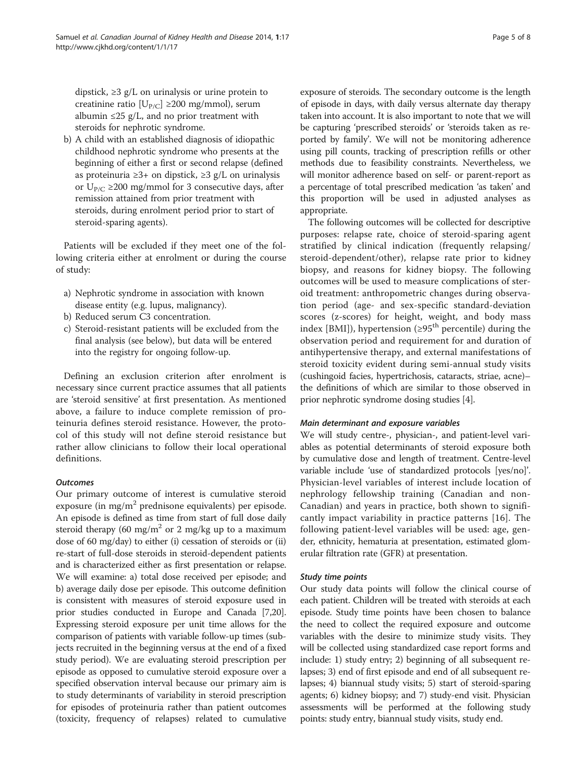dipstick,  $\geq$ 3 g/L on urinalysis or urine protein to creatinine ratio  $[U_{P/C}] \ge 200$  mg/mmol), serum albumin  $\leq$ 25 g/L, and no prior treatment with steroids for nephrotic syndrome.

b) A child with an established diagnosis of idiopathic childhood nephrotic syndrome who presents at the beginning of either a first or second relapse (defined as proteinuria ≥3+ on dipstick, ≥3 g/L on urinalysis or  $U_{P/C} \geq 200$  mg/mmol for 3 consecutive days, after remission attained from prior treatment with steroids, during enrolment period prior to start of steroid-sparing agents).

Patients will be excluded if they meet one of the following criteria either at enrolment or during the course of study:

- a) Nephrotic syndrome in association with known disease entity (e.g. lupus, malignancy).
- b) Reduced serum C3 concentration.
- c) Steroid-resistant patients will be excluded from the final analysis (see below), but data will be entered into the registry for ongoing follow-up.

Defining an exclusion criterion after enrolment is necessary since current practice assumes that all patients are 'steroid sensitive' at first presentation. As mentioned above, a failure to induce complete remission of proteinuria defines steroid resistance. However, the protocol of this study will not define steroid resistance but rather allow clinicians to follow their local operational definitions.

## **Outcomes**

Our primary outcome of interest is cumulative steroid exposure (in mg/m<sup>2</sup> prednisone equivalents) per episode. An episode is defined as time from start of full dose daily steroid therapy (60 mg/m<sup>2</sup> or 2 mg/kg up to a maximum dose of 60 mg/day) to either (i) cessation of steroids or (ii) re-start of full-dose steroids in steroid-dependent patients and is characterized either as first presentation or relapse. We will examine: a) total dose received per episode; and b) average daily dose per episode. This outcome definition is consistent with measures of steroid exposure used in prior studies conducted in Europe and Canada [[7,20](#page-7-0)]. Expressing steroid exposure per unit time allows for the comparison of patients with variable follow-up times (subjects recruited in the beginning versus at the end of a fixed study period). We are evaluating steroid prescription per episode as opposed to cumulative steroid exposure over a specified observation interval because our primary aim is to study determinants of variability in steroid prescription for episodes of proteinuria rather than patient outcomes (toxicity, frequency of relapses) related to cumulative exposure of steroids. The secondary outcome is the length of episode in days, with daily versus alternate day therapy taken into account. It is also important to note that we will be capturing 'prescribed steroids' or 'steroids taken as reported by family'. We will not be monitoring adherence using pill counts, tracking of prescription refills or other methods due to feasibility constraints. Nevertheless, we will monitor adherence based on self- or parent-report as a percentage of total prescribed medication 'as taken' and this proportion will be used in adjusted analyses as appropriate.

The following outcomes will be collected for descriptive purposes: relapse rate, choice of steroid-sparing agent stratified by clinical indication (frequently relapsing/ steroid-dependent/other), relapse rate prior to kidney biopsy, and reasons for kidney biopsy. The following outcomes will be used to measure complications of steroid treatment: anthropometric changes during observation period (age- and sex-specific standard-deviation scores (z-scores) for height, weight, and body mass index [BMI]), hypertension ( $\geq 95^{\text{th}}$  percentile) during the observation period and requirement for and duration of antihypertensive therapy, and external manifestations of steroid toxicity evident during semi-annual study visits (cushingoid facies, hypertrichosis, cataracts, striae, acne)– the definitions of which are similar to those observed in prior nephrotic syndrome dosing studies [\[4](#page-7-0)].

## Main determinant and exposure variables

We will study centre-, physician-, and patient-level variables as potential determinants of steroid exposure both by cumulative dose and length of treatment. Centre-level variable include 'use of standardized protocols [yes/no]'. Physician-level variables of interest include location of nephrology fellowship training (Canadian and non-Canadian) and years in practice, both shown to significantly impact variability in practice patterns [[16\]](#page-7-0). The following patient-level variables will be used: age, gender, ethnicity, hematuria at presentation, estimated glomerular filtration rate (GFR) at presentation.

## Study time points

Our study data points will follow the clinical course of each patient. Children will be treated with steroids at each episode. Study time points have been chosen to balance the need to collect the required exposure and outcome variables with the desire to minimize study visits. They will be collected using standardized case report forms and include: 1) study entry; 2) beginning of all subsequent relapses; 3) end of first episode and end of all subsequent relapses; 4) biannual study visits; 5) start of steroid-sparing agents; 6) kidney biopsy; and 7) study-end visit. Physician assessments will be performed at the following study points: study entry, biannual study visits, study end.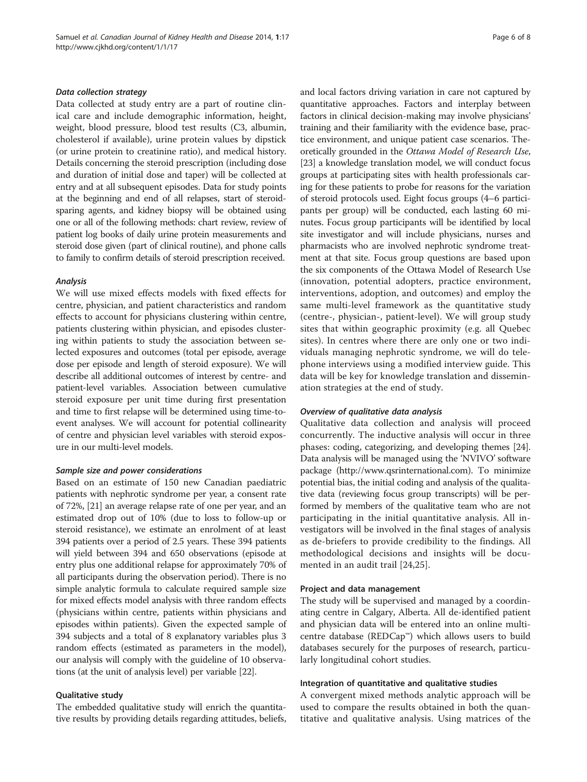#### Data collection strategy

Data collected at study entry are a part of routine clinical care and include demographic information, height, weight, blood pressure, blood test results (C3, albumin, cholesterol if available), urine protein values by dipstick (or urine protein to creatinine ratio), and medical history. Details concerning the steroid prescription (including dose and duration of initial dose and taper) will be collected at entry and at all subsequent episodes. Data for study points at the beginning and end of all relapses, start of steroidsparing agents, and kidney biopsy will be obtained using one or all of the following methods: chart review, review of patient log books of daily urine protein measurements and steroid dose given (part of clinical routine), and phone calls to family to confirm details of steroid prescription received.

#### Analysis

We will use mixed effects models with fixed effects for centre, physician, and patient characteristics and random effects to account for physicians clustering within centre, patients clustering within physician, and episodes clustering within patients to study the association between selected exposures and outcomes (total per episode, average dose per episode and length of steroid exposure). We will describe all additional outcomes of interest by centre- and patient-level variables. Association between cumulative steroid exposure per unit time during first presentation and time to first relapse will be determined using time-toevent analyses. We will account for potential collinearity of centre and physician level variables with steroid exposure in our multi-level models.

#### Sample size and power considerations

Based on an estimate of 150 new Canadian paediatric patients with nephrotic syndrome per year, a consent rate of 72%, [\[21\]](#page-7-0) an average relapse rate of one per year, and an estimated drop out of 10% (due to loss to follow-up or steroid resistance), we estimate an enrolment of at least 394 patients over a period of 2.5 years. These 394 patients will yield between 394 and 650 observations (episode at entry plus one additional relapse for approximately 70% of all participants during the observation period). There is no simple analytic formula to calculate required sample size for mixed effects model analysis with three random effects (physicians within centre, patients within physicians and episodes within patients). Given the expected sample of 394 subjects and a total of 8 explanatory variables plus 3 random effects (estimated as parameters in the model), our analysis will comply with the guideline of 10 observations (at the unit of analysis level) per variable [[22](#page-7-0)].

## Qualitative study

The embedded qualitative study will enrich the quantitative results by providing details regarding attitudes, beliefs, and local factors driving variation in care not captured by quantitative approaches. Factors and interplay between factors in clinical decision-making may involve physicians' training and their familiarity with the evidence base, practice environment, and unique patient case scenarios. Theoretically grounded in the Ottawa Model of Research Use, [[23](#page-7-0)] a knowledge translation model, we will conduct focus groups at participating sites with health professionals caring for these patients to probe for reasons for the variation of steroid protocols used. Eight focus groups (4–6 participants per group) will be conducted, each lasting 60 minutes. Focus group participants will be identified by local site investigator and will include physicians, nurses and pharmacists who are involved nephrotic syndrome treatment at that site. Focus group questions are based upon the six components of the Ottawa Model of Research Use (innovation, potential adopters, practice environment, interventions, adoption, and outcomes) and employ the same multi-level framework as the quantitative study (centre-, physician-, patient-level). We will group study sites that within geographic proximity (e.g. all Quebec sites). In centres where there are only one or two individuals managing nephrotic syndrome, we will do telephone interviews using a modified interview guide. This data will be key for knowledge translation and dissemination strategies at the end of study.

#### Overview of qualitative data analysis

Qualitative data collection and analysis will proceed concurrently. The inductive analysis will occur in three phases: coding, categorizing, and developing themes [[24](#page-7-0)]. Data analysis will be managed using the 'NVIVO' software package [\(http://www.qsrinternational.com\)](http://www.qsrinternational.com). To minimize potential bias, the initial coding and analysis of the qualitative data (reviewing focus group transcripts) will be performed by members of the qualitative team who are not participating in the initial quantitative analysis. All investigators will be involved in the final stages of analysis as de-briefers to provide credibility to the findings. All methodological decisions and insights will be documented in an audit trail [[24,25](#page-7-0)].

#### Project and data management

The study will be supervised and managed by a coordinating centre in Calgary, Alberta. All de-identified patient and physician data will be entered into an online multicentre database (REDCap™) which allows users to build databases securely for the purposes of research, particularly longitudinal cohort studies.

#### Integration of quantitative and qualitative studies

A convergent mixed methods analytic approach will be used to compare the results obtained in both the quantitative and qualitative analysis. Using matrices of the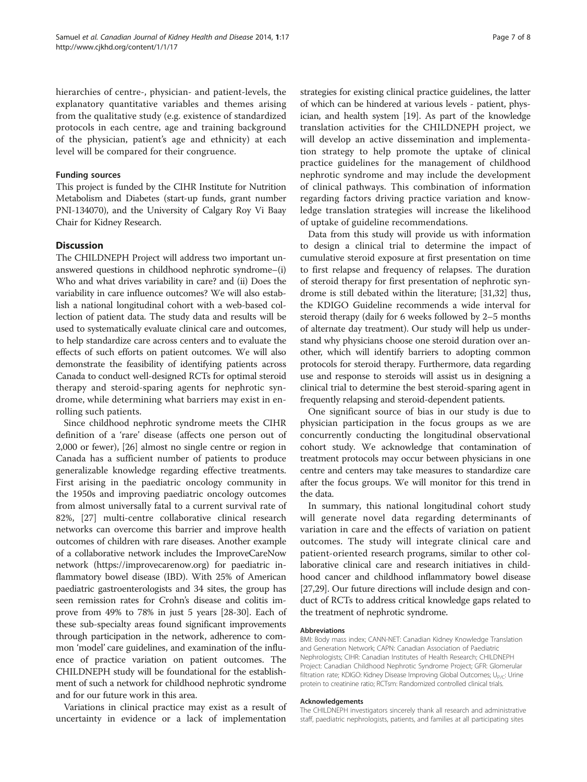hierarchies of centre-, physician- and patient-levels, the explanatory quantitative variables and themes arising from the qualitative study (e.g. existence of standardized protocols in each centre, age and training background of the physician, patient's age and ethnicity) at each level will be compared for their congruence.

## Funding sources

This project is funded by the CIHR Institute for Nutrition Metabolism and Diabetes (start-up funds, grant number PNI-134070), and the University of Calgary Roy Vi Baay Chair for Kidney Research.

## **Discussion**

The CHILDNEPH Project will address two important unanswered questions in childhood nephrotic syndrome–(i) Who and what drives variability in care? and (ii) Does the variability in care influence outcomes? We will also establish a national longitudinal cohort with a web-based collection of patient data. The study data and results will be used to systematically evaluate clinical care and outcomes, to help standardize care across centers and to evaluate the effects of such efforts on patient outcomes. We will also demonstrate the feasibility of identifying patients across Canada to conduct well-designed RCTs for optimal steroid therapy and steroid-sparing agents for nephrotic syndrome, while determining what barriers may exist in enrolling such patients.

Since childhood nephrotic syndrome meets the CIHR definition of a 'rare' disease (affects one person out of 2,000 or fewer), [\[26\]](#page-7-0) almost no single centre or region in Canada has a sufficient number of patients to produce generalizable knowledge regarding effective treatments. First arising in the paediatric oncology community in the 1950s and improving paediatric oncology outcomes from almost universally fatal to a current survival rate of 82%, [\[27](#page-7-0)] multi-centre collaborative clinical research networks can overcome this barrier and improve health outcomes of children with rare diseases. Another example of a collaborative network includes the ImproveCareNow network [\(https://improvecarenow.org](https://improvecarenow.org)) for paediatric inflammatory bowel disease (IBD). With 25% of American paediatric gastroenterologists and 34 sites, the group has seen remission rates for Crohn's disease and colitis improve from 49% to 78% in just 5 years [\[28-30\]](#page-7-0). Each of these sub-specialty areas found significant improvements through participation in the network, adherence to common 'model' care guidelines, and examination of the influence of practice variation on patient outcomes. The CHILDNEPH study will be foundational for the establishment of such a network for childhood nephrotic syndrome and for our future work in this area.

Variations in clinical practice may exist as a result of uncertainty in evidence or a lack of implementation strategies for existing clinical practice guidelines, the latter of which can be hindered at various levels - patient, physician, and health system [\[19](#page-7-0)]. As part of the knowledge translation activities for the CHILDNEPH project, we will develop an active dissemination and implementation strategy to help promote the uptake of clinical practice guidelines for the management of childhood nephrotic syndrome and may include the development of clinical pathways. This combination of information regarding factors driving practice variation and knowledge translation strategies will increase the likelihood of uptake of guideline recommendations.

Data from this study will provide us with information to design a clinical trial to determine the impact of cumulative steroid exposure at first presentation on time to first relapse and frequency of relapses. The duration of steroid therapy for first presentation of nephrotic syndrome is still debated within the literature; [\[31,32\]](#page-7-0) thus, the KDIGO Guideline recommends a wide interval for steroid therapy (daily for 6 weeks followed by 2–5 months of alternate day treatment). Our study will help us understand why physicians choose one steroid duration over another, which will identify barriers to adopting common protocols for steroid therapy. Furthermore, data regarding use and response to steroids will assist us in designing a clinical trial to determine the best steroid-sparing agent in frequently relapsing and steroid-dependent patients.

One significant source of bias in our study is due to physician participation in the focus groups as we are concurrently conducting the longitudinal observational cohort study. We acknowledge that contamination of treatment protocols may occur between physicians in one centre and centers may take measures to standardize care after the focus groups. We will monitor for this trend in the data.

In summary, this national longitudinal cohort study will generate novel data regarding determinants of variation in care and the effects of variation on patient outcomes. The study will integrate clinical care and patient-oriented research programs, similar to other collaborative clinical care and research initiatives in childhood cancer and childhood inflammatory bowel disease [[27,29](#page-7-0)]. Our future directions will include design and conduct of RCTs to address critical knowledge gaps related to the treatment of nephrotic syndrome.

#### Abbreviations

BMI: Body mass index; CANN-NET: Canadian Kidney Knowledge Translation and Generation Network; CAPN: Canadian Association of Paediatric Nephrologists; CIHR: Canadian Institutes of Health Research; CHILDNEPH Project: Canadian Childhood Nephrotic Syndrome Project; GFR: Glomerular filtration rate; KDIGO: Kidney Disease Improving Global Outcomes; U<sub>P/C</sub>: Urine protein to creatinine ratio; RCTsm: Randomized controlled clinical trials.

#### Acknowledgements

The CHILDNEPH investigators sincerely thank all research and administrative staff, paediatric nephrologists, patients, and families at all participating sites